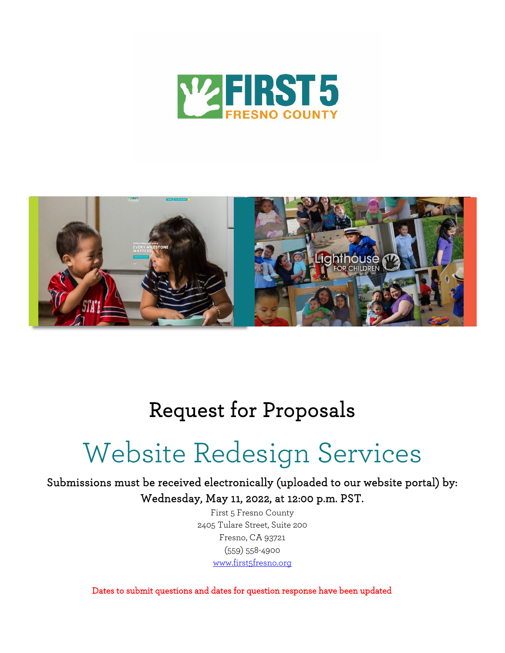



## Request for Proposals

# Website Redesign Services

Submissions must be received electronically (uploaded to our website portal) by: Wednesday, May 11, 2022, at 12:00 p.m. PST.

> First 5 Fresno County 2405 Tulare Street, Suite 200 Fresno, CA 93721 (559) 558-4900 [www.first5fresno.org](http://www.first5fresno.org/)

Dates to submit questions and dates for question response have been updated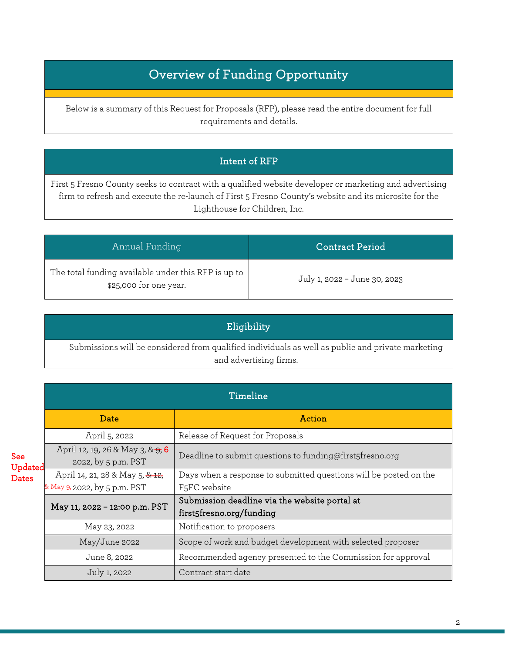### Overview of Funding Opportunity

Below is a summary of this Request for Proposals (RFP), please read the entire document for full requirements and details.

#### Intent of RFP

First 5 Fresno County seeks to contract with a qualified website developer or marketing and advertising firm to refresh and execute the re-launch of First 5 Fresno County's website and its microsite for the Lighthouse for Children, Inc.

| Annual Funding                                                                | <b>Contract Period</b>       |
|-------------------------------------------------------------------------------|------------------------------|
| The total funding available under this RFP is up to<br>\$25,000 for one year. | July 1, 2022 - June 30, 2023 |

| Eligibility                                                                                                                 |  |
|-----------------------------------------------------------------------------------------------------------------------------|--|
| Submissions will be considered from qualified individuals as well as public and private marketing<br>and advertising firms. |  |

|                                       | Timeline                                                |                                                                           |  |
|---------------------------------------|---------------------------------------------------------|---------------------------------------------------------------------------|--|
|                                       | Date                                                    | Action                                                                    |  |
|                                       | April 5, 2022                                           | Release of Request for Proposals                                          |  |
| <b>See</b><br>Updated<br><b>Dates</b> | April 12, 19, 26 & May 3, & 9, 6<br>2022, by 5 p.m. PST | Deadline to submit questions to funding@first5fresno.org                  |  |
|                                       | April 14, 21, 28 & May 5, & 12,                         | Days when a response to submitted questions will be posted on the         |  |
|                                       | & May 9, 2022, by 5 p.m. PST                            | F <sub>5</sub> FC website                                                 |  |
|                                       | May 11, 2022 - 12:00 p.m. PST                           | Submission deadline via the website portal at<br>first5fresno.org/funding |  |
|                                       | May 23, 2022                                            | Notification to proposers                                                 |  |
|                                       | May/June 2022                                           | Scope of work and budget development with selected proposer               |  |
|                                       | June 8, 2022                                            | Recommended agency presented to the Commission for approval               |  |
|                                       | July 1, 2022                                            | Contract start date                                                       |  |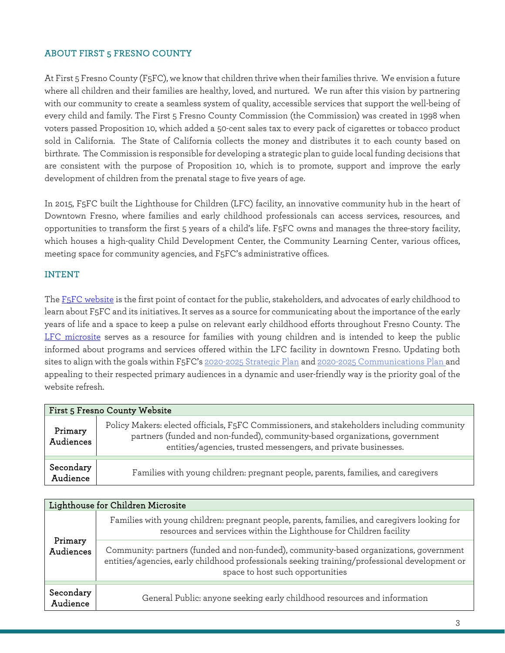#### ABOUT FIRST 5 FRESNO COUNTY

At First 5 Fresno County (F5FC), we know that children thrive when their families thrive. We envision a future where all children and their families are healthy, loved, and nurtured. We run after this vision by partnering with our community to create a seamless system of quality, accessible services that support the well-being of every child and family. The First 5 Fresno County Commission (the Commission) was created in 1998 when voters passed Proposition 10, which added a 50-cent sales tax to every pack of cigarettes or tobacco product sold in California. The State of California collects the money and distributes it to each county based on birthrate. The Commission is responsible for developing a strategic plan to guide local funding decisions that are consistent with the purpose of Proposition 10, which is to promote, support and improve the early development of children from the prenatal stage to five years of age.

In 2015, F5FC built the Lighthouse for Children (LFC) facility, an innovative community hub in the heart of Downtown Fresno, where families and early childhood professionals can access services, resources, and opportunities to transform the first 5 years of a child's life. F5FC owns and manages the three-story facility, which houses a high-quality Child Development Center, the Community Learning Center, various offices, meeting space for community agencies, and F5FC's administrative offices.

#### INTENT

Th[e F5FC website](https://www.first5fresno.org/) is the first point of contact for the public, stakeholders, and advocates of early childhood to learn about F5FC and its initiatives. It serves as a source for communicating about the importance of the early years of life and a space to keep a pulse on relevant early childhood efforts throughout Fresno County. The [LFC microsite](https://www.lfcfresno.org/) serves as a resource for families with young children and is intended to keep the public informed about programs and services offered within the LFC facility in downtown Fresno. Updating both sites to align with the goals within F5FC's [2020-2025 Strategic Plan](https://www.first5fresno.org/wp-content/uploads/2019/07/First-5-Fresno-County-2020-2025-Strategic-Plan-FINAL.pdf) and [2020-2025 Communications](https://www.first5fresno.org/wp-content/uploads/2022/02/2020-25-Communication-Plan-Final.pdf) Plan and appealing to their respected primary audiences in a dynamic and user-friendly way is the priority goal of the website refresh.

| First 5 Fresno County Website |                                                                                                                                                                                                                                             |  |  |  |
|-------------------------------|---------------------------------------------------------------------------------------------------------------------------------------------------------------------------------------------------------------------------------------------|--|--|--|
| Primary<br>Audiences          | Policy Makers: elected officials, F5FC Commissioners, and stakeholders including community<br>partners (funded and non-funded), community-based organizations, government<br>entities/agencies, trusted messengers, and private businesses. |  |  |  |
| Secondary<br>Audience         | Families with young children: pregnant people, parents, families, and caregivers                                                                                                                                                            |  |  |  |

| Lighthouse for Children Microsite |                                                                                                                                                                                                                             |  |  |
|-----------------------------------|-----------------------------------------------------------------------------------------------------------------------------------------------------------------------------------------------------------------------------|--|--|
| Primary<br>Audiences              | Families with young children: pregnant people, parents, families, and caregivers looking for<br>resources and services within the Lighthouse for Children facility                                                          |  |  |
|                                   | Community: partners (funded and non-funded), community-based organizations, government<br>entities/agencies, early childhood professionals seeking training/professional development or<br>space to host such opportunities |  |  |
|                                   |                                                                                                                                                                                                                             |  |  |
| Secondary<br>Audience             | General Public: anyone seeking early childhood resources and information                                                                                                                                                    |  |  |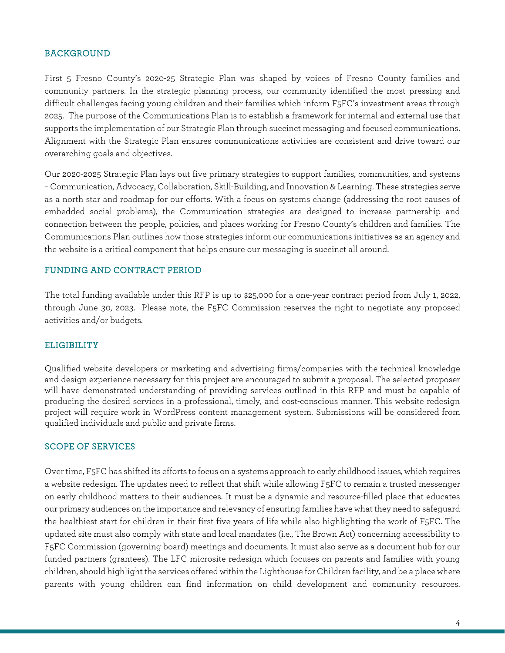#### BACKGROUND

First 5 Fresno County's 2020-25 Strategic Plan was shaped by voices of Fresno County families and community partners. In the strategic planning process, our community identified the most pressing and difficult challenges facing young children and their families which inform F5FC's investment areas through 2025. The purpose of the Communications Plan is to establish a framework for internal and external use that supports the implementation of our Strategic Plan through succinct messaging and focused communications. Alignment with the Strategic Plan ensures communications activities are consistent and drive toward our overarching goals and objectives.

Our 2020-2025 Strategic Plan lays out five primary strategies to support families, communities, and systems – Communication, Advocacy, Collaboration, Skill-Building, and Innovation & Learning. These strategies serve as a north star and roadmap for our efforts. With a focus on systems change (addressing the root causes of embedded social problems), the Communication strategies are designed to increase partnership and connection between the people, policies, and places working for Fresno County's children and families. The Communications Plan outlines how those strategies inform our communications initiatives as an agency and the website is a critical component that helps ensure our messaging is succinct all around.

#### FUNDING AND CONTRACT PERIOD

The total funding available under this RFP is up to \$25,000 for a one-year contract period from July 1, 2022, through June 30, 2023. Please note, the F5FC Commission reserves the right to negotiate any proposed activities and/or budgets.

#### ELIGIBILITY

Qualified website developers or marketing and advertising firms/companies with the technical knowledge and design experience necessary for this project are encouraged to submit a proposal. The selected proposer will have demonstrated understanding of providing services outlined in this RFP and must be capable of producing the desired services in a professional, timely, and cost-conscious manner. This website redesign project will require work in WordPress content management system. Submissions will be considered from qualified individuals and public and private firms.

#### SCOPE OF SERVICES

Over time, F5FC has shifted its efforts to focus on a systems approach to early childhood issues, which requires a website redesign. The updates need to reflect that shift while allowing F5FC to remain a trusted messenger on early childhood matters to their audiences. It must be a dynamic and resource-filled place that educates our primary audiences on the importance and relevancy of ensuring families have what they need to safeguard the healthiest start for children in their first five years of life while also highlighting the work of F5FC. The updated site must also comply with state and local mandates (i.e., The Brown Act) concerning accessibility to F5FC Commission (governing board) meetings and documents. It must also serve as a document hub for our funded partners (grantees). The LFC microsite redesign which focuses on parents and families with young children, should highlight the services offered within the Lighthouse for Children facility, and be a place where parents with young children can find information on child development and community resources.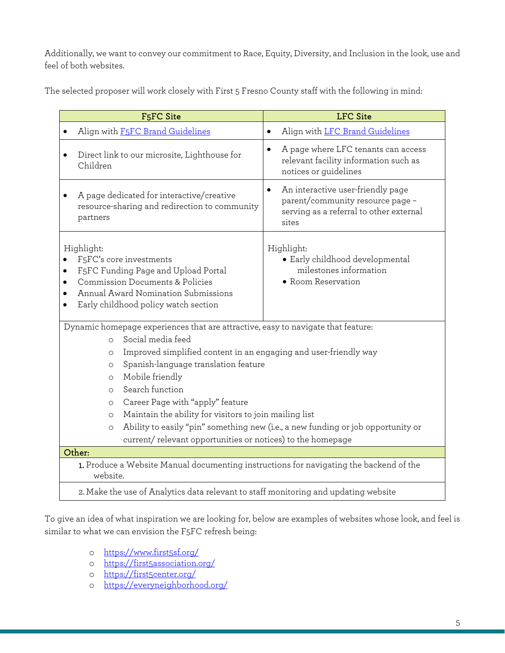Additionally, we want to convey our commitment to Race, Equity, Diversity, and Inclusion in the look, use and feel of both websites.

The selected proposer will work closely with First 5 Fresno County staff with the following in mind:

| F <sub>5</sub> FC Site                                                                                                                                                                                                                                                                                                                                                                                                                                                                                                                                                                          | <b>LFC</b> Site                                                                                                           |  |  |  |
|-------------------------------------------------------------------------------------------------------------------------------------------------------------------------------------------------------------------------------------------------------------------------------------------------------------------------------------------------------------------------------------------------------------------------------------------------------------------------------------------------------------------------------------------------------------------------------------------------|---------------------------------------------------------------------------------------------------------------------------|--|--|--|
| Align with F5FC Brand Guidelines                                                                                                                                                                                                                                                                                                                                                                                                                                                                                                                                                                | Align with LFC Brand Guidelines<br>$\bullet$                                                                              |  |  |  |
| Direct link to our microsite, Lighthouse for<br>Children                                                                                                                                                                                                                                                                                                                                                                                                                                                                                                                                        | A page where LFC tenants can access<br>relevant facility information such as<br>notices or guidelines                     |  |  |  |
| A page dedicated for interactive/creative<br>resource-sharing and redirection to community<br>partners                                                                                                                                                                                                                                                                                                                                                                                                                                                                                          | An interactive user-friendly page<br>parent/community resource page -<br>serving as a referral to other external<br>sites |  |  |  |
| Highlight:<br>F <sub>5</sub> FC's core investments<br>F5FC Funding Page and Upload Portal<br>$\bullet$<br>Commission Documents & Policies<br>Annual Award Nomination Submissions<br>Early childhood policy watch section                                                                                                                                                                                                                                                                                                                                                                        | Highlight:<br>• Early childhood developmental<br>milestones information<br>• Room Reservation                             |  |  |  |
| Dynamic homepage experiences that are attractive, easy to navigate that feature:<br>Social media feed<br>$\circ$<br>Improved simplified content in an engaging and user-friendly way<br>$\circ$<br>Spanish-language translation feature<br>$\circ$<br>Mobile friendly<br>$\circ$<br>Search function<br>$\circ$<br>Career Page with "apply" feature<br>$\circ$<br>Maintain the ability for visitors to join mailing list<br>$\circ$<br>Ability to easily "pin" something new (i.e., a new funding or job opportunity or<br>$\circ$<br>current/relevant opportunities or notices) to the homepage |                                                                                                                           |  |  |  |
| Other:                                                                                                                                                                                                                                                                                                                                                                                                                                                                                                                                                                                          |                                                                                                                           |  |  |  |
| 1. Produce a Website Manual documenting instructions for navigating the backend of the<br>website.                                                                                                                                                                                                                                                                                                                                                                                                                                                                                              |                                                                                                                           |  |  |  |
| 2. Make the use of Analytics data relevant to staff monitoring and updating website                                                                                                                                                                                                                                                                                                                                                                                                                                                                                                             |                                                                                                                           |  |  |  |

To give an idea of what inspiration we are looking for, below are examples of websites whose look, and feel is similar to what we can envision the F5FC refresh being:

- o <https://www.first5sf.org/>
- o <https://first5association.org/>
- o <https://first5center.org/>
- o <https://everyneighborhood.org/>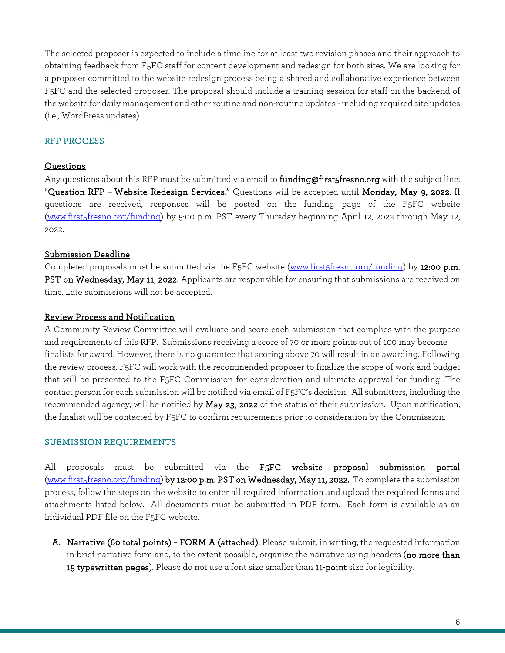The selected proposer is expected to include a timeline for at least two revision phases and their approach to obtaining feedback from F5FC staff for content development and redesign for both sites. We are looking for a proposer committed to the website redesign process being a shared and collaborative experience between F5FC and the selected proposer. The proposal should include a training session for staff on the backend of the website for daily management and other routine and non-routine updates - including required site updates (i.e., WordPress updates).

#### RFP PROCESS

#### Questions

Any questions about this RFP must be submitted via email to **funding@first5fresno.org** with the subject line: "Question RFP – Website Redesign Services." Questions will be accepted until Monday, May 9, 2022. If questions are received, responses will be posted on the funding page of the F5FC website [\(www.first5fresno.org/funding\)](http://www.first5fresno.org/funding) by 5:00 p.m. PST every Thursday beginning April 12, 2022 through May 12, 2022.

#### Submission Deadline

Completed proposals must be submitted via the F5FC website [\(www.first5fresno.org/funding\)](http://www.first5fresno.org/funding) by 12:00 p.m. PST on Wednesday, May 11, 2022. Applicants are responsible for ensuring that submissions are received on time. Late submissions will not be accepted.

#### Review Process and Notification

A Community Review Committee will evaluate and score each submission that complies with the purpose and requirements of this RFP. Submissions receiving a score of 70 or more points out of 100 may become finalists for award. However, there is no guarantee that scoring above 70 will result in an awarding. Following the review process, F5FC will work with the recommended proposer to finalize the scope of work and budget that will be presented to the F5FC Commission for consideration and ultimate approval for funding. The contact person for each submission will be notified via email of F5FC's decision. All submitters, including the recommended agency, will be notified by May 23, 2022 of the status of their submission. Upon notification, the finalist will be contacted by F5FC to confirm requirements prior to consideration by the Commission.

#### SUBMISSION REQUIREMENTS

All proposals must be submitted via the F5FC website proposal submission portal [\(www.first5fresno.org/funding\)](http://www.first5fresno.org/funding) by 12:00 p.m. PST on Wednesday, May 11, 2022. To complete the submission process, follow the steps on the website to enter all required information and upload the required forms and attachments listed below. All documents must be submitted in PDF form. Each form is available as an individual PDF file on the F5FC website.

A. Narrative (60 total points) – FORM A (attached): Please submit, in writing, the requested information in brief narrative form and, to the extent possible, organize the narrative using headers (no more than 15 typewritten pages). Please do not use a font size smaller than 11-point size for legibility.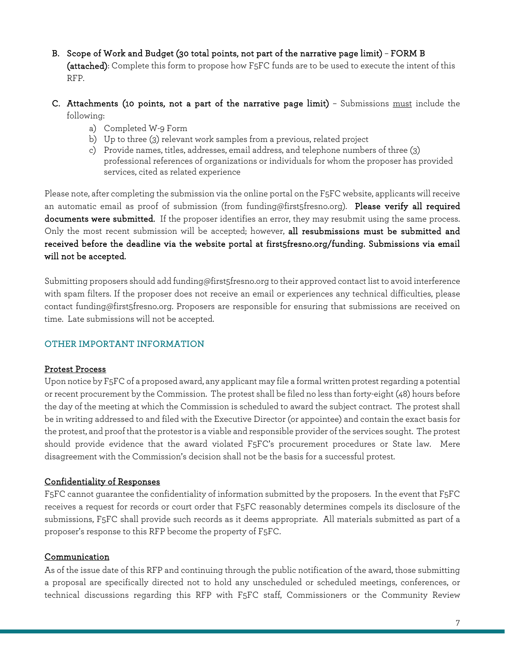- B. Scope of Work and Budget (30 total points, not part of the narrative page limit) FORM B (attached): Complete this form to propose how F5FC funds are to be used to execute the intent of this RFP.
- C. Attachments (10 points, not a part of the narrative page limit) Submissions must include the following:
	- a) Completed W-9 Form
	- b) Up to three (3) relevant work samples from a previous, related project
	- c) Provide names, titles, addresses, email address, and telephone numbers of three (3) professional references of organizations or individuals for whom the proposer has provided services, cited as related experience

Please note, after completing the submission via the online portal on the F5FC website, applicants will receive an automatic email as proof of submission (from [funding@first5fresno.org\)](mailto:funding@first5fresno.org). Please verify all required documents were submitted. If the proposer identifies an error, they may resubmit using the same process. Only the most recent submission will be accepted; however, all resubmissions must be submitted and received before the deadline via the website portal at first5fresno.org/funding. Submissions via email will not be accepted.

Submitting proposers should add [funding@first5fresno.org](mailto:funding@first5fresno.org) to their approved contact list to avoid interference with spam filters. If the proposer does not receive an email or experiences any technical difficulties, please contact [funding@first5fresno.org.](mailto:funding@first5fresno.org) Proposers are responsible for ensuring that submissions are received on time. Late submissions will not be accepted.

#### OTHER IMPORTANT INFORMATION

#### Protest Process

Upon notice by F5FC of a proposed award, any applicant may file a formal written protest regarding a potential or recent procurement by the Commission. The protest shall be filed no less than forty-eight (48) hours before the day of the meeting at which the Commission is scheduled to award the subject contract. The protest shall be in writing addressed to and filed with the Executive Director (or appointee) and contain the exact basis for the protest, and proof that the protestor is a viable and responsible provider of the services sought. The protest should provide evidence that the award violated F5FC's procurement procedures or State law. Mere disagreement with the Commission's decision shall not be the basis for a successful protest.

#### Confidentiality of Responses

F5FC cannot guarantee the confidentiality of information submitted by the proposers. In the event that F5FC receives a request for records or court order that F5FC reasonably determines compels its disclosure of the submissions, F5FC shall provide such records as it deems appropriate. All materials submitted as part of a proposer's response to this RFP become the property of F5FC.

#### Communication

As of the issue date of this RFP and continuing through the public notification of the award, those submitting a proposal are specifically directed not to hold any unscheduled or scheduled meetings, conferences, or technical discussions regarding this RFP with F5FC staff, Commissioners or the Community Review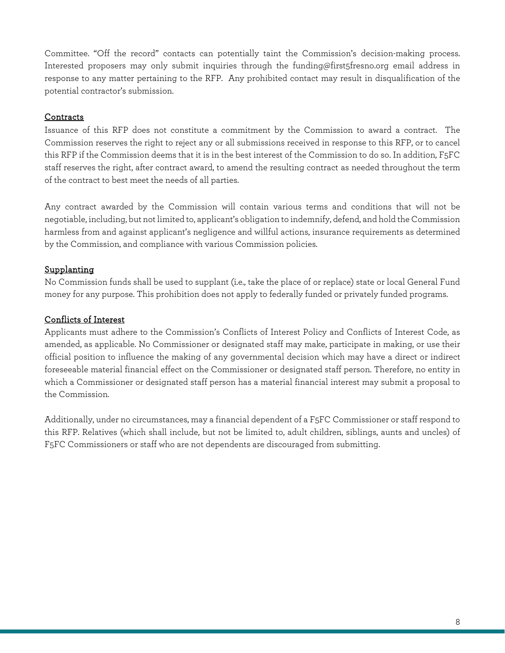Committee. "Off the record" contacts can potentially taint the Commission's decision-making process. Interested proposers may only submit inquiries through the funding@first5fresno.org email address in response to any matter pertaining to the RFP. Any prohibited contact may result in disqualification of the potential contractor's submission.

#### **Contracts**

Issuance of this RFP does not constitute a commitment by the Commission to award a contract. The Commission reserves the right to reject any or all submissions received in response to this RFP, or to cancel this RFP if the Commission deems that it is in the best interest of the Commission to do so. In addition, F5FC staff reserves the right, after contract award, to amend the resulting contract as needed throughout the term of the contract to best meet the needs of all parties.

Any contract awarded by the Commission will contain various terms and conditions that will not be negotiable, including, but not limited to, applicant's obligation to indemnify, defend, and hold the Commission harmless from and against applicant's negligence and willful actions, insurance requirements as determined by the Commission, and compliance with various Commission policies.

#### Supplanting

No Commission funds shall be used to supplant (i.e., take the place of or replace) state or local General Fund money for any purpose. This prohibition does not apply to federally funded or privately funded programs.

#### Conflicts of Interest

Applicants must adhere to the Commission's Conflicts of Interest Policy and Conflicts of Interest Code, as amended, as applicable. No Commissioner or designated staff may make, participate in making, or use their official position to influence the making of any governmental decision which may have a direct or indirect foreseeable material financial effect on the Commissioner or designated staff person. Therefore, no entity in which a Commissioner or designated staff person has a material financial interest may submit a proposal to the Commission.

Additionally, under no circumstances, may a financial dependent of a F5FC Commissioner or staff respond to this RFP. Relatives (which shall include, but not be limited to, adult children, siblings, aunts and uncles) of F5FC Commissioners or staff who are not dependents are discouraged from submitting.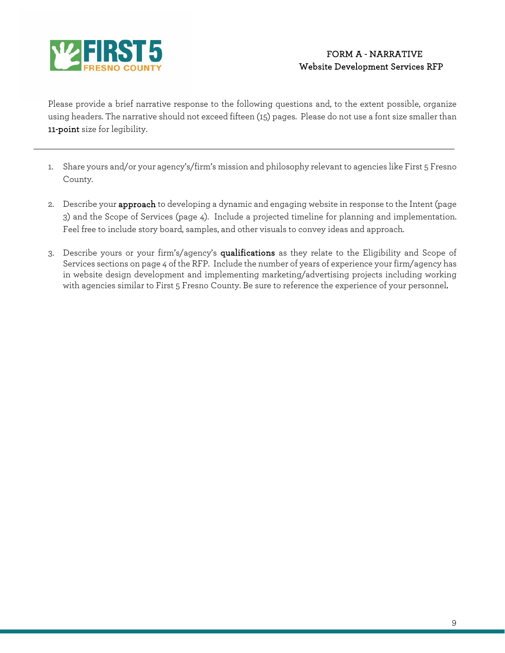

Please provide a brief narrative response to the following questions and, to the extent possible, organize using headers. The narrative should not exceed fifteen (15) pages. Please do not use a font size smaller than 11-point size for legibility.

- 1. Share yours and/or your agency's/firm's mission and philosophy relevant to agencies like First 5 Fresno County.
- 2. Describe your approach to developing a dynamic and engaging website in response to the Intent (page 3) and the Scope of Services (page 4). Include a projected timeline for planning and implementation. Feel free to include story board, samples, and other visuals to convey ideas and approach.
- 3. Describe yours or your firm's/agency's qualifications as they relate to the Eligibility and Scope of Services sections on page 4 of the RFP. Include the number of years of experience your firm/agency has in website design development and implementing marketing/advertising projects including working with agencies similar to First 5 Fresno County. Be sure to reference the experience of your personnel.